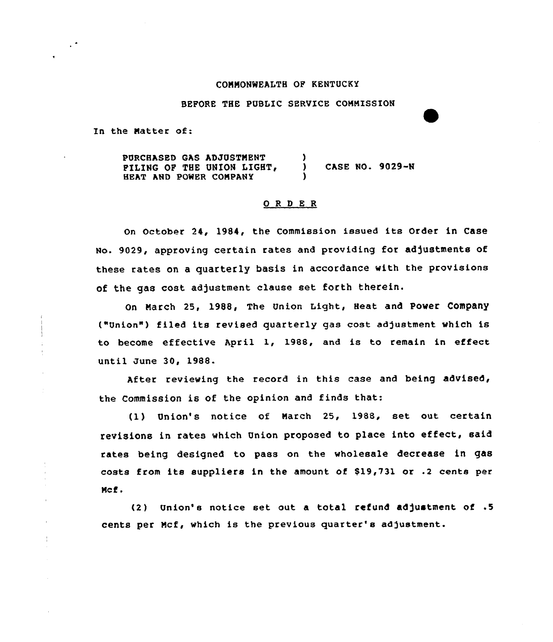### COMMONWEALTH OF KENTUCKY

# BEFORE THE PUBLIC SERUICE COMMISSION

In the Matter of:

PURCHASED GAS ADJUSTMENT PILING OF THE UNION LIGHT, HEAT AND POWER COMPANY ) ) CASE WO. 9029-N )

## 0 <sup>R</sup> <sup>D</sup> <sup>E</sup> <sup>R</sup>

On October 24, 1984, the Commission issued its Order in Case No. 9029, approving certain rates and providing for adjustments of these rates on a quarterly basis in accordance with the provisions of the gas cost adjustment clause set forth therein.

on March 25, 1988, The Union Light., Beat and pover company ("Union") filed its revised quarterly gas cost adjustment which is to become effective April 1, 1988, and is to remain in effect until June 30, 1988.

After reviewing the record in this case and being advised, the Commission is of the opinion and finds that:

(1) Union's notice of March 25, 1988, set out certain revisions in rates which Union proposed to place into effect, said rates being designed to pass on the wholesale decrease in gas costs from its suppliers in the amount of \$19,731 or .2 cents per Mcf .

 $(2)$  Union's notice set out a total refund adjustment of  $.5$ cents per Mcf, which is the previous quarter's adjustment.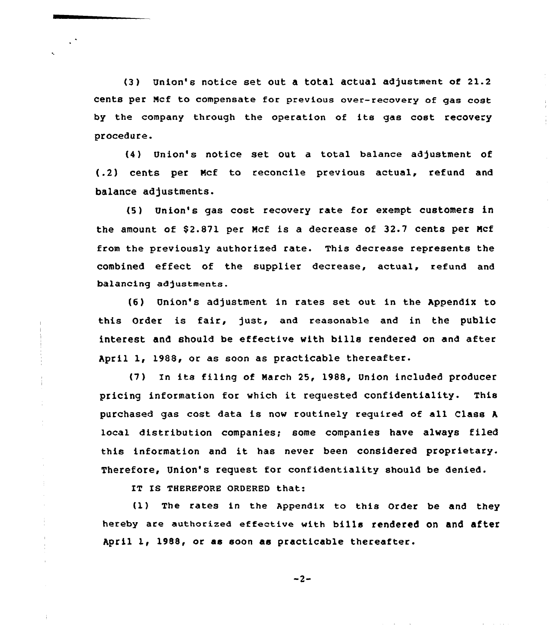(3) Union's notice set out a total actual adjustment of 21.2 cents per Mcf to compensate for previous over-recovery of gas cost by the company through the operation of its gas cost recovery procedure.

{4) Union's notice set out a total balance adjustment of (.2) cents per Ncf to reconcile previous actual, refund and balance adjustments.

(5) Union's gas cost recovery rate for exempt customers in the amount of \$2.871 per Mcf is a decrease of 32.7 cents per Mcf from the previously authorized rate. This decrease represents the combined effect of the supplier decrease, actual, refund and balancing adjustments.

(6) Union's adjustment in rates set out in the Appendix to this Order is fair, just, and reasonable and in the public interest and should be effective with bills rendered on and after April 1, 1988, or as soon as practicable thereafter.

(7) In its filing of March 25, 1988, Union included producer pricing information for which it requested confidentiality. This purchased gas cost data is now routinely required of all Class <sup>h</sup> local distribution companies; some companies have always filed this information and it has never been considered proprietary. Therefore, Union's request for confidentiality should be denied.

IT IS THEREFORE ORDERED that:

ŧ

{1) The rates in the Appendix to this Order be and they hereby are authorized effective with bills rendered on and after April 1< 1988, or as soon as practicable thereafter.

$$
-2-
$$

and the sales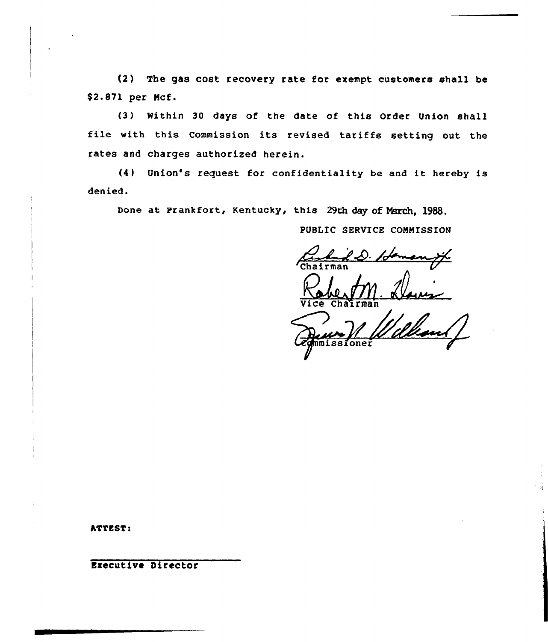(2) The gas cost recovery rate for exempt customers shall be \$2.871 per Ncf.

(3) Within 30 days of the date of this Order Union shall file with this Commission its revised tariffs setting out the rates and charges authorized herein.

(4) Union's request for confidentiality be and it hereby is denied.

Done at Frankfort, Kentucky, this 29th day of March, 1988.

# PUBLIC SERVICE COMMISSION

**Chairman** 

Vice Chairma

missione

ATTEST:

**Executive Director**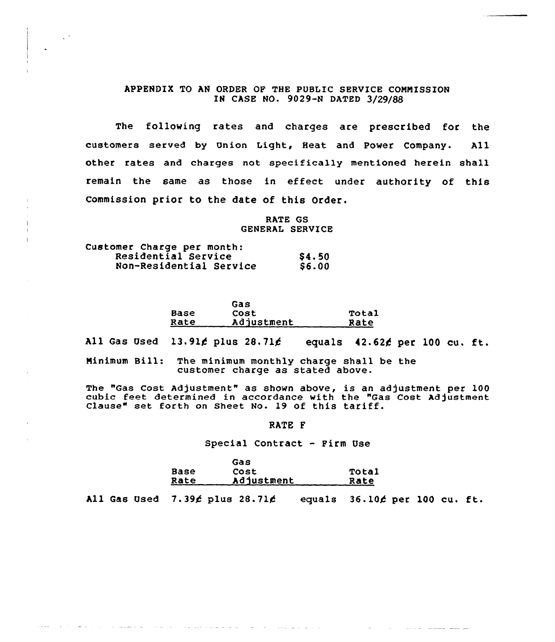# APPENDIX TO AN ORDER OF THE PUBLIC SERVICE CONNISSION IN CASE NO. 9029-N DATED 3/29/88

The following rates and charges are prescribed for the customers served by Union Light, Heat and Power Company. All other rates and charges not specifically mentioned herein shall remain the same as those in effect under authority of this commission prior to the date of this Order.

> RATE GS GENERAL SERVICE

| Customer Charge per month: |              |
|----------------------------|--------------|
| Residential Service        | \$4.50       |
| Non-Residential Service    | <b>S6.00</b> |

|      | Gas        |       |
|------|------------|-------|
| Base | Cost       | Total |
| Rate | Adjustment | Rate  |

All Gas Used 13.91 $\cancel{\epsilon}$  plus 28.71 $\cancel{\epsilon}$  equals 42.62 $\cancel{\epsilon}$  per 100 cu. ft.

Ninimum Bill: The minimum monthly charge shall be the customer charge as stated above.

The "Gas Cost Adjustment" as shown above, is an adjustment per 100 cubic feet determined in accordance with the "Gas Cost Adjustment Clause" set forth on Sheet No. 19 of this tariff.

RATE F

#### Special Contract — Firm Use

|             | Gas        |       |
|-------------|------------|-------|
| Base        | Cost       | Total |
| <u>Rate</u> | Adjustment | Rate  |

All Gas Used  $7.39/$  plus  $28.71/$  equals  $36.10/$  per 100 cu. ft.